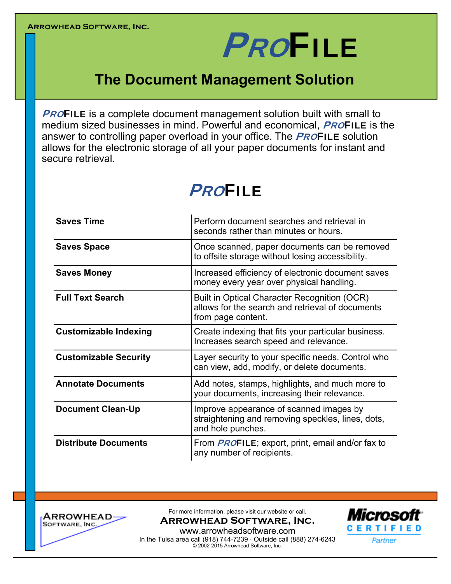# **PROFILE**

## **The Document Management Solution**

**PROFILE** is a complete document management solution built with small to medium sized businesses in mind. Powerful and economical, **PROFILE** is the answer to controlling paper overload in your office. The **PROFILE** solution allows for the electronic storage of all your paper documents for instant and secure retrieval.

## **PROFILE**

| <b>Saves Time</b>            | Perform document searches and retrieval in<br>seconds rather than minutes or hours.                                    |  |  |  |
|------------------------------|------------------------------------------------------------------------------------------------------------------------|--|--|--|
| <b>Saves Space</b>           | Once scanned, paper documents can be removed<br>to offsite storage without losing accessibility.                       |  |  |  |
| <b>Saves Money</b>           | Increased efficiency of electronic document saves<br>money every year over physical handling.                          |  |  |  |
| <b>Full Text Search</b>      | Built in Optical Character Recognition (OCR)<br>allows for the search and retrieval of documents<br>from page content. |  |  |  |
| <b>Customizable Indexing</b> | Create indexing that fits your particular business.<br>Increases search speed and relevance.                           |  |  |  |
| <b>Customizable Security</b> | Layer security to your specific needs. Control who<br>can view, add, modify, or delete documents.                      |  |  |  |
| <b>Annotate Documents</b>    | Add notes, stamps, highlights, and much more to<br>your documents, increasing their relevance.                         |  |  |  |
| <b>Document Clean-Up</b>     | Improve appearance of scanned images by<br>straightening and removing speckles, lines, dots,<br>and hole punches.      |  |  |  |
| <b>Distribute Documents</b>  | From <b>PROFILE</b> ; export, print, email and/or fax to<br>any number of recipients.                                  |  |  |  |



For more information, please visit our website or call.

**Arrowhead Software, Inc.** 



www.arrowheadsoftware.com In the Tulsa area call (918) 744-7239 · Outside call (888) 274-6243 © 2002-2015 Arrowhead Software, Inc.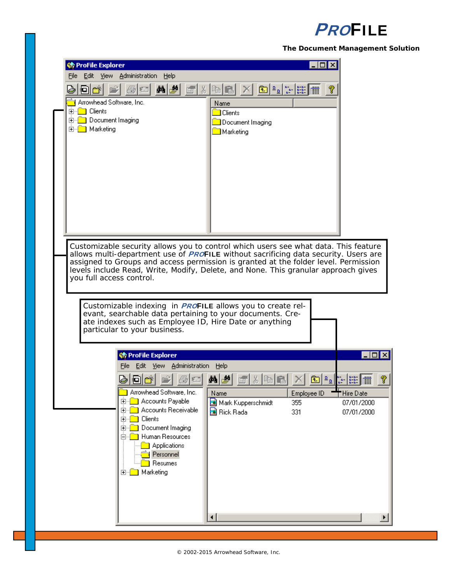## **PROFILE**

**The Document Management Solution** 

| 洲 ProFile Explorer                           |                                                                                    |                                                                                            |                                                                                                                                                                                                                                                                                                                                                                                                                         |                                                                                                                                                                                                                                                            |
|----------------------------------------------|------------------------------------------------------------------------------------|--------------------------------------------------------------------------------------------|-------------------------------------------------------------------------------------------------------------------------------------------------------------------------------------------------------------------------------------------------------------------------------------------------------------------------------------------------------------------------------------------------------------------------|------------------------------------------------------------------------------------------------------------------------------------------------------------------------------------------------------------------------------------------------------------|
| File                                         | Edit View Administration<br>Help                                                   |                                                                                            |                                                                                                                                                                                                                                                                                                                                                                                                                         |                                                                                                                                                                                                                                                            |
| ‡olle⊀                                       | 的感                                                                                 | 3. 电记                                                                                      | $\begin{array}{ c c c c c c } \hline \multicolumn{1}{ c }{3} & \multicolumn{1}{ c }{2} & \multicolumn{1}{ c }{2} & \multicolumn{1}{ c }{2} & \multicolumn{1}{ c }{2} & \multicolumn{1}{ c }{2} & \multicolumn{1}{ c }{2} & \multicolumn{1}{ c }{2} & \multicolumn{1}{ c }{2} & \multicolumn{1}{ c }{2} & \multicolumn{1}{ c }{2} & \multicolumn{1}{ c }{2} & \multicolumn{1}{ c }{2} & \multicolumn{1}{ c }{2} & \mult$ |                                                                                                                                                                                                                                                            |
| Arrowhead Software, Inc.                     |                                                                                    | Name                                                                                       |                                                                                                                                                                                                                                                                                                                                                                                                                         |                                                                                                                                                                                                                                                            |
| <b>Clients</b><br>田<br>Document Imaging<br>田 |                                                                                    | <b>Clients</b>                                                                             |                                                                                                                                                                                                                                                                                                                                                                                                                         |                                                                                                                                                                                                                                                            |
| Marketing<br>$\boxed{+}$                     |                                                                                    | Document Imaging<br>Marketing                                                              |                                                                                                                                                                                                                                                                                                                                                                                                                         |                                                                                                                                                                                                                                                            |
|                                              |                                                                                    |                                                                                            |                                                                                                                                                                                                                                                                                                                                                                                                                         |                                                                                                                                                                                                                                                            |
|                                              |                                                                                    |                                                                                            |                                                                                                                                                                                                                                                                                                                                                                                                                         |                                                                                                                                                                                                                                                            |
|                                              |                                                                                    |                                                                                            |                                                                                                                                                                                                                                                                                                                                                                                                                         |                                                                                                                                                                                                                                                            |
|                                              |                                                                                    |                                                                                            |                                                                                                                                                                                                                                                                                                                                                                                                                         |                                                                                                                                                                                                                                                            |
|                                              |                                                                                    |                                                                                            |                                                                                                                                                                                                                                                                                                                                                                                                                         |                                                                                                                                                                                                                                                            |
|                                              |                                                                                    |                                                                                            |                                                                                                                                                                                                                                                                                                                                                                                                                         |                                                                                                                                                                                                                                                            |
|                                              |                                                                                    |                                                                                            |                                                                                                                                                                                                                                                                                                                                                                                                                         |                                                                                                                                                                                                                                                            |
|                                              |                                                                                    |                                                                                            |                                                                                                                                                                                                                                                                                                                                                                                                                         |                                                                                                                                                                                                                                                            |
|                                              |                                                                                    |                                                                                            |                                                                                                                                                                                                                                                                                                                                                                                                                         |                                                                                                                                                                                                                                                            |
|                                              |                                                                                    | Customizable security allows you to control which users see what data. This feature        |                                                                                                                                                                                                                                                                                                                                                                                                                         |                                                                                                                                                                                                                                                            |
|                                              |                                                                                    | allows multi-department use of <b>PROFILE</b> without sacrificing data security. Users are |                                                                                                                                                                                                                                                                                                                                                                                                                         |                                                                                                                                                                                                                                                            |
|                                              |                                                                                    | assigned to Groups and access permission is granted at the folder level. Permission        |                                                                                                                                                                                                                                                                                                                                                                                                                         |                                                                                                                                                                                                                                                            |
|                                              |                                                                                    |                                                                                            |                                                                                                                                                                                                                                                                                                                                                                                                                         |                                                                                                                                                                                                                                                            |
|                                              | levels include Read, Write, Modify, Delete, and None. This granular approach gives |                                                                                            |                                                                                                                                                                                                                                                                                                                                                                                                                         |                                                                                                                                                                                                                                                            |
| you full access control.                     |                                                                                    |                                                                                            |                                                                                                                                                                                                                                                                                                                                                                                                                         |                                                                                                                                                                                                                                                            |
|                                              |                                                                                    |                                                                                            |                                                                                                                                                                                                                                                                                                                                                                                                                         |                                                                                                                                                                                                                                                            |
|                                              |                                                                                    | Customizable indexing in <b>PROFILE</b> allows you to create rel-                          |                                                                                                                                                                                                                                                                                                                                                                                                                         |                                                                                                                                                                                                                                                            |
|                                              |                                                                                    | evant, searchable data pertaining to your documents. Cre-                                  |                                                                                                                                                                                                                                                                                                                                                                                                                         |                                                                                                                                                                                                                                                            |
|                                              |                                                                                    | ate indexes such as Employee ID, Hire Date or anything                                     |                                                                                                                                                                                                                                                                                                                                                                                                                         |                                                                                                                                                                                                                                                            |
|                                              | particular to your business.                                                       |                                                                                            |                                                                                                                                                                                                                                                                                                                                                                                                                         |                                                                                                                                                                                                                                                            |
|                                              |                                                                                    |                                                                                            |                                                                                                                                                                                                                                                                                                                                                                                                                         |                                                                                                                                                                                                                                                            |
|                                              | 《 ProFile Explorer                                                                 |                                                                                            |                                                                                                                                                                                                                                                                                                                                                                                                                         |                                                                                                                                                                                                                                                            |
|                                              | File Edit View Administration                                                      | Help                                                                                       |                                                                                                                                                                                                                                                                                                                                                                                                                         |                                                                                                                                                                                                                                                            |
|                                              |                                                                                    | H                                                                                          | ч                                                                                                                                                                                                                                                                                                                                                                                                                       | $\begin{array}{ c c c }\hline \underline{D} & \underline{D} & \underline{D} & \underline{D} & \underline{D} & \underline{D} \\ \hline \underline{D} & \underline{D} & \underline{D} & \underline{D} & \underline{D} & \underline{D} \\ \hline \end{array}$ |
|                                              | Arrowhead Software, Inc.                                                           | Name                                                                                       | Employee ID                                                                                                                                                                                                                                                                                                                                                                                                             | $\Box$ ol<br>Hire Date                                                                                                                                                                                                                                     |
|                                              | Accounts Payable<br>田                                                              | Mark Kupperschmidt                                                                         | 355                                                                                                                                                                                                                                                                                                                                                                                                                     |                                                                                                                                                                                                                                                            |
|                                              | Accounts Receivable<br>田                                                           | Rick Rada                                                                                  | 331                                                                                                                                                                                                                                                                                                                                                                                                                     |                                                                                                                                                                                                                                                            |
|                                              | Clients<br>$\overline{\mathbf{H}}$<br>$\left  + \right $                           |                                                                                            |                                                                                                                                                                                                                                                                                                                                                                                                                         |                                                                                                                                                                                                                                                            |
|                                              | Document Imaging<br>Human Resources                                                |                                                                                            |                                                                                                                                                                                                                                                                                                                                                                                                                         |                                                                                                                                                                                                                                                            |
|                                              | Applications                                                                       |                                                                                            |                                                                                                                                                                                                                                                                                                                                                                                                                         |                                                                                                                                                                                                                                                            |
|                                              | Personnel                                                                          |                                                                                            |                                                                                                                                                                                                                                                                                                                                                                                                                         |                                                                                                                                                                                                                                                            |
|                                              | Resumes                                                                            |                                                                                            |                                                                                                                                                                                                                                                                                                                                                                                                                         |                                                                                                                                                                                                                                                            |
|                                              | Marketing<br>[∓]…                                                                  |                                                                                            |                                                                                                                                                                                                                                                                                                                                                                                                                         |                                                                                                                                                                                                                                                            |
|                                              |                                                                                    |                                                                                            |                                                                                                                                                                                                                                                                                                                                                                                                                         |                                                                                                                                                                                                                                                            |
|                                              |                                                                                    |                                                                                            |                                                                                                                                                                                                                                                                                                                                                                                                                         | 07/01/2000<br>07/01/2000                                                                                                                                                                                                                                   |
|                                              |                                                                                    |                                                                                            |                                                                                                                                                                                                                                                                                                                                                                                                                         |                                                                                                                                                                                                                                                            |
|                                              |                                                                                    | ⊣                                                                                          |                                                                                                                                                                                                                                                                                                                                                                                                                         |                                                                                                                                                                                                                                                            |

© 2002-2015 Arrowhead Software, Inc.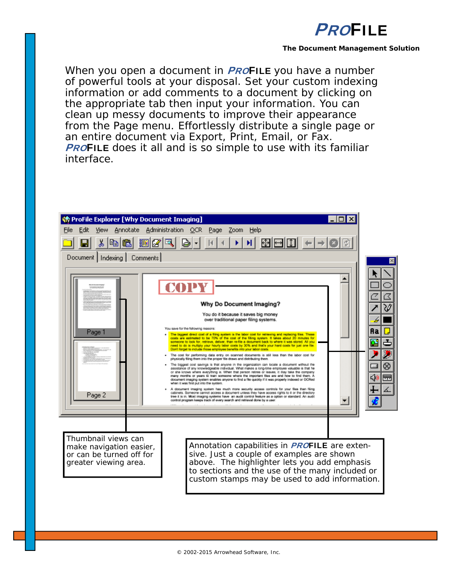

#### **The Document Management Solution**

When you open a document in **PROFILE** you have a number of powerful tools at your disposal. Set your custom indexing information or add comments to a document by clicking on the appropriate tab then input your information. You can clean up messy documents to improve their appearance from the Page menu. Effortlessly distribute a single page or an entire document via Export, Print, Email, or Fax. **PROFILE** does it all and is so simple to use with its familiar interface.